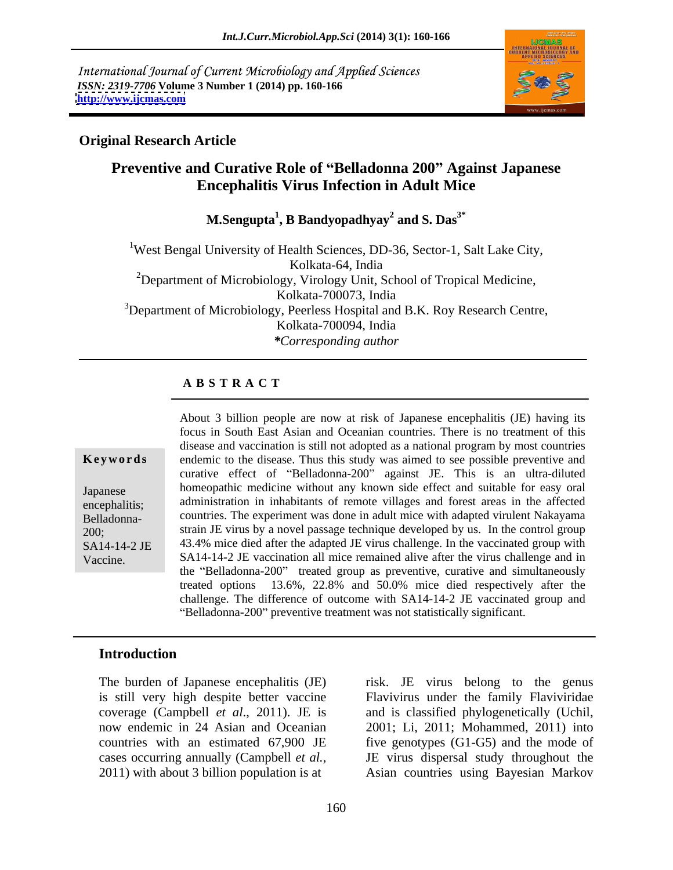International Journal of Current Microbiology and Applied Sciences *ISSN: 2319-7706* **Volume 3 Number 1 (2014) pp. 160-166 <http://www.ijcmas.com>**



### **Original Research Article**

# **Preventive and Curative Role of Belladonna 200 Against Japanese Encephalitis Virus Infection in Adult Mice**

**M.Sengupta<sup>1</sup> , B Bandyopadhyay<sup>2</sup> and S. Das3\***

<sup>1</sup>West Bengal University of Health Sciences, DD-36, Sector-1, Salt Lake City,<br>Kolkata-64, India<br><sup>2</sup>Department of Microbiology, Virology Unit, School of Tropical Medicine,<br>Kolkata-700073, India <sup>3</sup>Department of Microbiology, Peerless Hospital and B.K. Roy Research Centre, Kolkata-700094, India *\*Corresponding author* 

### **A B S T R A C T**

**Keywords** endemic to the disease. Thus this study was aimed to see possible preventive and Japanese homeopathic medicine without any known side effect and suitable for easy oral encephalitis; administration in inhabitants of remote villages and forest areas in the affected Belladonna- countries. The experiment was done in adult mice with adapted virulent Nakayama 200; strain JE virus by a novel passage technique developed by us. In the control group SA14-14-2 JE 43.4% mice died after the adapted JE virus challenge. In the vaccinated group with Vaccine. SA14-14-2 JE vaccination all mice remained alive after the virus challenge and in About 3 billion people are now at risk of Japanese encephalitis (JE) having its focus in South East Asian and Oceanian countries. There is no treatment of this disease and vaccination is still not adopted as a national program by most countries curative effect of "Belladonna-200" against JE. This is an ultra-diluted the "Belladonna-200" treated group as preventive, curative and simultaneously treated options 13.6%, 22.8% and 50.0% mice died respectively after the challenge. The difference of outcome with SA14-14-2 JE vaccinated group and "Belladonna-200" preventive treatment was not statistically significant.

### **Introduction**

The burden of Japanese encephalitis (JE) risk. JE virus belong to the genus cases occurring annually (Campbell *et al.*, <br>2011) with about 3 billion population is at Asian countries using Bayesian Markov

is still very high despite better vaccine Flavivirus under the family Flaviviridae coverage (Campbell *et al*., 2011). JE is and is classified phylogenetically (Uchil, now endemic in 24 Asian and Oceanian 2001; Li, 2011; Mohammed, 2011) into countries with an estimated 67,900 JE five genotypes (G1-G5) and the mode of JE virus dispersal study throughout the Asian countries using Bayesian Markov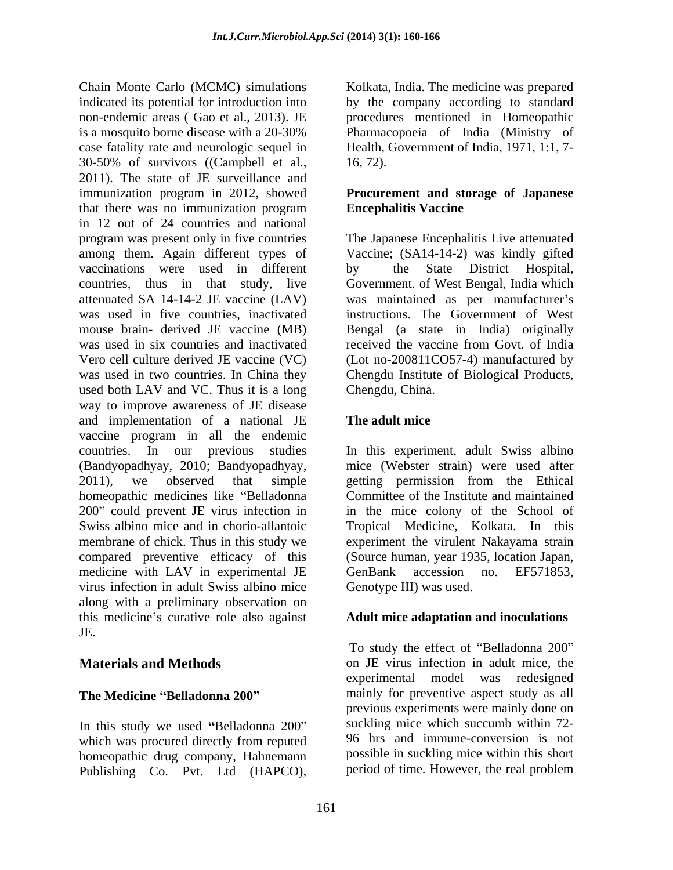Chain Monte Carlo (MCMC) simulations Kolkata, India. The medicine was prepared indicated its potential for introduction into by the company according to standard non-endemic areas ( Gao et al., 2013). JE is a mosquito borne disease with a 20-30% Pharmacopoeia of India (Ministry of case fatality rate and neurologic sequel in Health, Government of India, 1971, 1:1, 7- 30-50% of survivors ((Campbell et al., 2011). The state of JE surveillance and immunization program in 2012, showed **Procurement and storage of Japanese** that there was no immunization program **Encephalitis Vaccine** in 12 out of 24 countries and national program was present only in five countries The Japanese Encephalitis Live attenuated among them. Again different types of Vaccine; (SA14-14-2) was kindly gifted vaccinations were used in different countries, thus in that study, live Government. of West Bengal, India which attenuated SA 14-14-2 JE vaccine (LAV) was maintained as per manufacturer s was used in five countries, inactivated instructions. The Government of West mouse brain- derived JE vaccine (MB) Bengal (a state in India) originally was used in six countries and inactivated received the vaccine from Govt. of India Vero cell culture derived JE vaccine (VC) (Lot no-200811CO57-4) manufactured by was used in two countries. In China they Chengdu Institute of Biological Products, used both LAV and VC. Thus it is a long way to improve awareness of JE disease and implementation of a national JE vaccine program in all the endemic countries. In our previous studies In this experiment, adult Swiss albino (Bandyopadhyay, 2010; Bandyopadhyay, 2011), we observed that simple getting permission from the Ethical homeopathic medicines like "Belladonna Committee of the Institute and maintained 200" could prevent JE virus infection in in the mice colony of the School of Swiss albino mice and in chorio-allantoic Tropical Medicine, Kolkata. In this membrane of chick. Thus in this study we experiment the virulent Nakayama strain compared preventive efficacy of this medicine with LAV in experimental JE GenBank accession no. EF571853, virus infection in adult Swiss albino mice along with a preliminary observation on this medicine's curative role also against **Adult mice adaptation and inoculations** JE. Chain Monte Cate (MCNC) simulations. The medicine was required to the medicine was prepared to the medicine was Coloo et al., 2013). Its precedure summation in the<br>medicine are selected in the medicine was considered in t

In this study we used "Belladonna 200" which was procured directly from reputed homeopathic drug company, Hahnemann procedures mentioned in Homeopathic 16, 72).

# **Encephalitis Vaccine**

the State District Hospital, received the vaccine from Govt. of India Chengdu, China.

### **The adult mice**

mice (Webster strain) were used after (Source human, year 1935, location Japan, GenBank accession no. EF571853, Genotype III) was used.

**Materials and Methods** on JE virus infection in adult mice, the **The Medicine "Belladonna 200"** mainly for preventive aspect study as all To study the effect of "Belladonna 200" experimental model was redesigned previous experiments were mainly done on suckling mice which succumb within 72- 96 hrs and immune-conversion is not possible in suckling mice within this short period of time. However, the real problem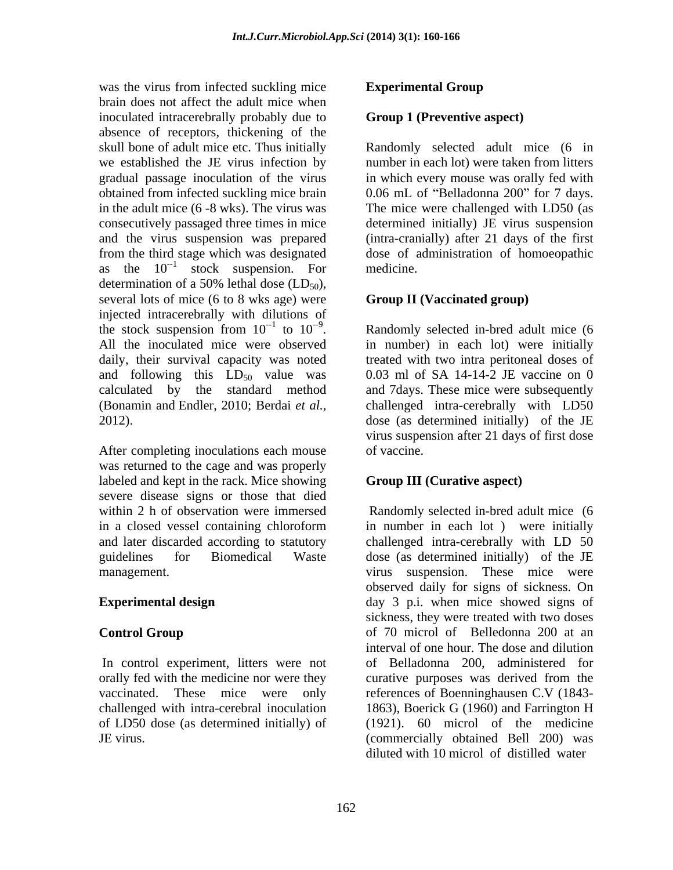was the virus from infected suckling mice **Experimental Group** brain does not affect the adult mice when inoculated intracerebrally probably due to absence of receptors, thickening of the skull bone of adult mice etc. Thus initially Randomly selected adult mice (6 in we established the JE virus infection by gradual passage inoculation of the virus in which every mouse was orally fed with obtained from infected suckling mice brain  $0.06 \text{ mL of }$  "Belladonna 200" for 7 days. in the adult mice (6 -8 wks). The virus was The mice were challenged with LD50 (as consecutively passaged three times in mice and the virus suspension was prepared (intra-cranially) after 21 days of the first from the third stage which was designated dose of administration of homoeopathic as the  $10^{-1}$  stock suspension. For medicine. determination of a 50% lethal dose  $(LD_{50})$ , several lots of mice (6 to 8 wks age) were injected intracerebrally with dilutions of<br>the stock suspension from  $10^{-1}$  to  $10^{-9}$ . the stock suspension from  $10^{-1}$  to  $10^{-9}$ . Randomly selected in-bred adult mice (6 the stock suspension from  $10^{-1}$  to  $10^{-9}$ . Randomly selected in-bred adult mice (6 All the inoculated mice were observed in number) in each lot) were initially daily, their survival capacity was noted treated with two intra peritoneal doses of and following this  $LD_{50}$  value was 0.03 ml of SA 14-14-2 JE vaccine on 0 calculated by the standard method and 7days. These mice were subsequently (Bonamin and Endler, 2010; Berdai *et al.,* challenged intra-cerebrally with LD50 2012). dose (as determined initially) of the JE

After completing inoculations each mouse of vaccine. was returned to the cage and was properly labeled and kept in the rack. Mice showing severe disease signs or those that died

orally fed with the medicine nor were they curative purposes was derived from the of LD50 dose (as determined initially) of

### **Experimental Group**

### **Group 1 (Preventive aspect)**

number in each lot) were taken from litters determined initially) JE virus suspension medicine.

### **Group II (Vaccinated group)**

in number) in each lot) were initially 0.03 ml of SA 14-14-2 JE vaccine on 0 virus suspension after 21 days of first dose of vaccine.

### **Group III (Curative aspect)**

within 2 h of observation were immersed Randomly selected in-bred adult mice (6 in a closed vessel containing chloroform and later discarded according to statutory challenged intra-cerebrally with LD 50 guidelines for Biomedical Waste dose (as determined initially) of the JE management. virus suspension. These mice were **Experimental design** day 3 p.i. when mice showed signs of **Control Group control Group of 70 microl of Belledonna 200 at an** In control experiment, litters were not of Belladonna 200, administered for vaccinated. These mice were only references of Boenninghausen C.V (1843 challenged with intra-cerebral inoculation 1863), Boerick G (1960) and Farrington H JE virus. (commercially obtained Bell 200) was in number in each lot ) were initially observed daily for signs of sickness. On sickness, they were treated with two doses interval of one hour. The dose and dilution curative purposes was derived from the (1921). 60 microl of the medicine diluted with 10 microl of distilled water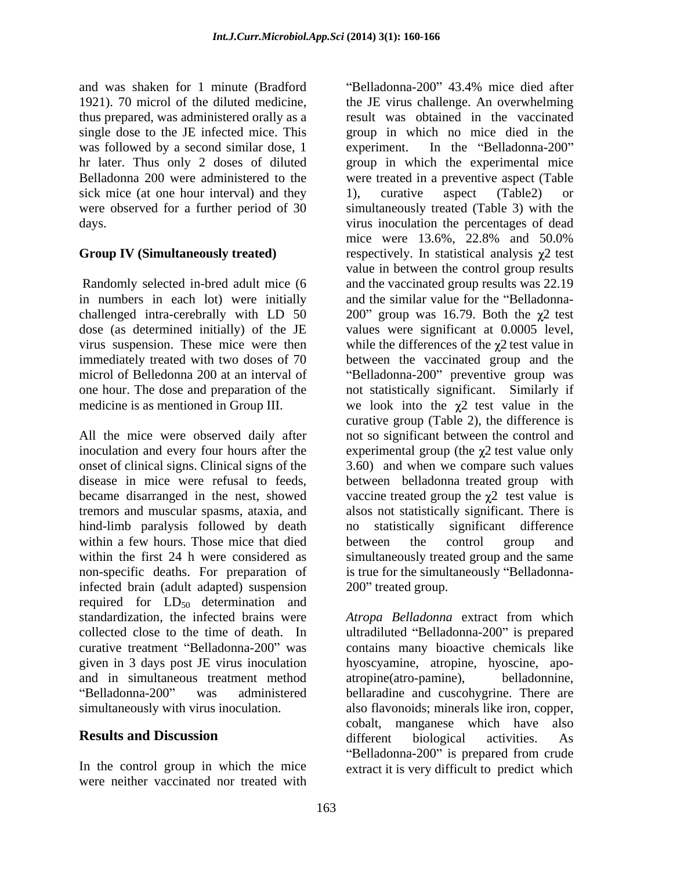and was shaken for 1 minute (Bradford thus prepared, was administered orally as a single dose to the JE infected mice. This was followed by a second similar dose, 1 experiment. In the "Belladonna-200" sick mice (at one hour interval) and they 1), curative aspect (Table2) or

Randomly selected in-bred adult mice (6 in numbers in each lot) were initially

tremors and muscular spasms, ataxia, and hind-limb paralysis followed by death no statistically significant difference within a few hours. Those mice that died<br>between the control group and<br>within the first 24 h were considered as<br>simultaneously treated group and the same infected brain (adult adapted) suspension 200" treated group. required for  $LD_{50}$  determination and<br>standardization, the infected brains were and in simultaneous treatment method

were neither vaccinated nor treated with

1921). 70 microl of the diluted medicine, the JE virus challenge. An overwhelming hr later. Thus only 2 doses of diluted group in which the experimental mice Belladonna 200 were administered to the were treated in a preventive aspect (Table were observed for a further period of 30 simultaneously treated (Table 3) with the days. virus inoculation the percentages of dead **Group IV (Simultaneously treated)** respectively. In statistical analysis  $\chi$ 2 test challenged intra-cerebrally with LD 50  $\qquad 200$ " group was 16.79. Both the  $\chi$ 2 test dose (as determined initially) of the JE values were significant at 0.0005 level, virus suspension. These mice were then while the differences of the  $\chi^2$  test value in immediately treated with two doses of 70 between the vaccinated group and the microl of Belledonna 200 at an interval of "Belladonna-200" preventive group was one hour. The dose and preparation of the not statistically significant. Similarly if medicine is as mentioned in Group III. We look into the  $\chi^2$  test value in the All the mice were observed daily after not so significant between the control and inoculation and every four hours after the  $\qquad$  experimental group (the  $\chi$ 2 test value only onset of clinical signs. Clinical signs of the 3.60) and when we compare such values disease in mice were refusal to feeds, between belladonna treated group with became disarranged in the nest, showed vaccine treated group the  $\chi$ <sup>2</sup> test value is within the first 24 h were considered as simultaneously treated group and the same non-specific deaths. For preparation of is true for the simultaneously "Belladonna-Belladonna-200" 43.4% mice died after result was obtained in the vaccinated group in which no mice died in the experiment. In the "Belladonna-200" 1), curative aspect (Table2) or mice were 13.6%, 22.8% and 50.0% value in between the control group results and the vaccinated group results was 22.19 and the similar value for the "Belladonnacurative group (Table 2), the difference is alsos not statistically significant. There is no statistically significant difference between the control group and 200" treated group.

Atropa Belladonna extract from which collected close to the time of death. In ultradiluted "Belladonna-200" is prepared curative treatment "Belladonna-200" was contains many bioactive chemicals like given in 3 days post JE virus inoculation hyoscyamine, atropine, hyoscine, apo- Belladonna-200" was administered bellaradine and cuscohygrine. There are simultaneously with virus inoculation. also flavonoids; minerals like iron, copper, **Results and Discussion and Signal Associates** different biological activities. As In the control group in which the mice extract it is very difficult to predict which *Atropa Belladonna* extract from which atropine(atro-pamine), cobalt, manganese which have also different biological activities. As "Belladonna-200" is prepared from crude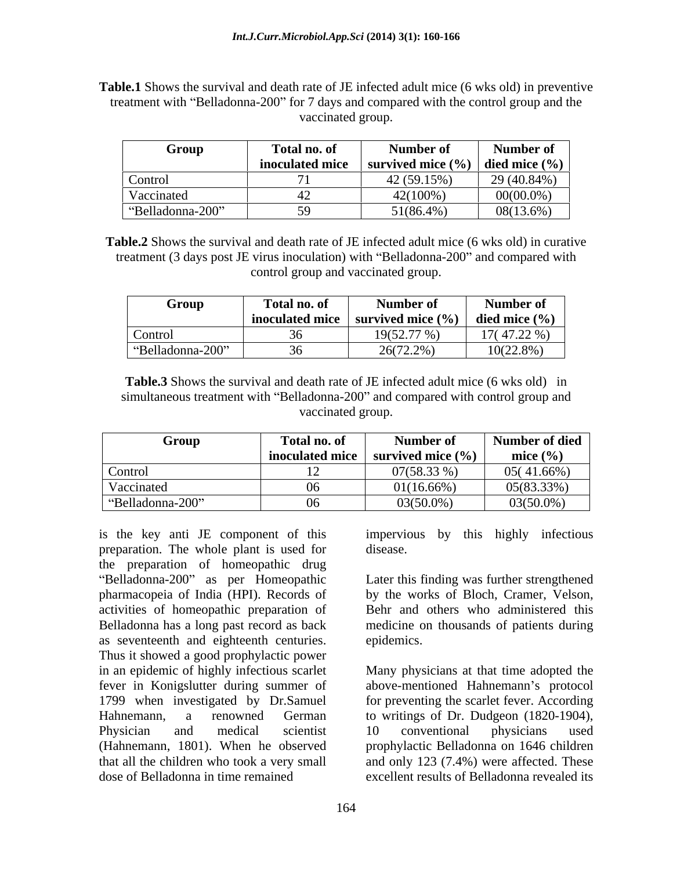**Table.1** Shows the survival and death rate of JE infected adult mice (6 wks old) in preventive treatment with "Belladonna-200" for 7 days and compared with the control group and the vaccinated group.

| Group            | <b>fotal no. of</b> | Number of                                    | Number of         |
|------------------|---------------------|----------------------------------------------|-------------------|
|                  | inoculated mice     | <b>survived mice</b> $(\frac{6}{2})^{\circ}$ | died mice $(\% )$ |
| Control          |                     | 12(59.15%)                                   | 29 (40.84%)       |
| Vaccinated       |                     | 42(100%)                                     | $00(00.0\%)$      |
| "Belladonna-200" |                     | 51(86.4%)                                    | $08(13.6\%)$      |

**Table.2** Shows the survival and death rate of JE infected adult mice (6 wks old) in curative treatment (3 days post JE virus inoculation) with "Belladonna-200" and compared with control group and vaccinated group.

| Group                          | Total no. of    | Number of                   | Number of         |
|--------------------------------|-----------------|-----------------------------|-------------------|
|                                | inoculated mice | survived mice $\frac{6}{6}$ | died mice $(\% )$ |
| Control                        |                 | $19(52.77\%)$               | $17(47.22\% )$    |
| Belladonna-200"<br>$(1)$ $(1)$ |                 | (772.20)<br>2017 Z.ZYO      | $10(22.8\%)$      |

**Table.3** Shows the survival and death rate of JE infected adult mice (6 wks old) in simultaneous treatment with "Belladonna-200" and compared with control group and vaccinated group.

| Group            | l'otal no. of   | Number of             | Number of died |
|------------------|-----------------|-----------------------|----------------|
|                  | inoculated mice | survived mice $(\% )$ | mice $(\% )$   |
| Control          |                 | $07(58.33\%)$         | $05(41.66\%)$  |
| Vaccinated       |                 | 01(16.66%)            | 05(83.33%)     |
| "Belladonna-200" |                 | $03(50.0\%)$          | $03(50.0\%)$   |

is the key anti JE component of this impervious by this highly infectious preparation. The whole plant is used for the preparation of homeopathic drug pharmacopeia of India (HPI). Records of activities of homeopathic preparation of Belladonna has a long past record as back medicine on thousands of patients during as seventeenth and eighteenth centuries. Thus it showed a good prophylactic power in an epidemic of highly infectious scarlet fever in Konigslutter during summer of above-mentioned Hahnemann's protocol 1799 when investigated by Dr.Samuel for preventing the scarlet fever. According Hahnemann, a renowned German to writings of Dr. Dudgeon (1820-1904), Physician and medical scientist 10 conventional physicians used (Hahnemann, 1801). When he observed that all the children who took a very small and only 123 (7.4%) were affected. These dose of Belladonna in time remained excellent results of Belladonna revealed its

disease.

Belladonna-200" as per Homeopathic Later this finding was further strengthened by the works of Bloch, Cramer, Velson, Behr and others who administered this epidemics.

> Many physicians at that time adopted the 10 conventional physicians used prophylactic Belladonna on 1646 children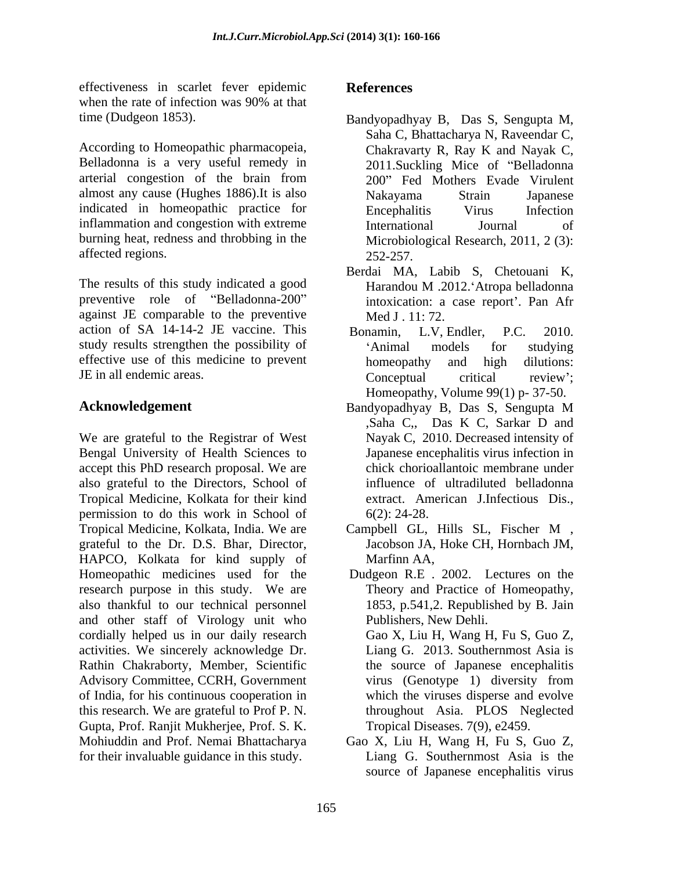effectiveness in scarlet fever epidemic when the rate of infection was 90% at that

According to Homeopathic pharmacopeia, Belladonna is a very useful remedy in almost any cause (Hughes 1886).It is also indicated in homeopathic practice for **Encephalitis** Virus Infection inflammation and congestion with extreme<br>International and Lournal of burning heat, redness and throbbing in the affected regions. 252-257.

The results of this study indicated a good<br>Harandou M .2012.'Atropa belladonna preventive role of "Belladonna-200" against JE comparable to the preventive action of SA 14-14-2 JE vaccine. This Bonamin, L.V. Endler, P.C. 2010. study results strengthen the possibility of 'Animal models for studying effective use of this medicine to prevent homeopathy and high dilutions:

We are grateful to the Registrar of West Bengal University of Health Sciences to accept this PhD research proposal. We are also grateful to the Directors, School of Tropical Medicine, Kolkata for their kind permission to do this work in School of  $6(2)$ : 24-28. Tropical Medicine, Kolkata, India. We are Campbell GL, Hills SL, Fischer M, grateful to the Dr. D.S. Bhar, Director, HAPCO, Kolkata for kind supply of Homeopathic medicines used for the research purpose in this study. We are also thankful to our technical personnel and other staff of Virology unit who cordially helped us in our daily research activities. We sincerely acknowledge Dr. Rathin Chakraborty, Member, Scientific Advisory Committee, CCRH, Government virus (Genotype 1) diversity from of India, for his continuous cooperation in this research. We are grateful to Prof P. N. Gupta, Prof. Ranjit Mukherjee, Prof. S. K. Mohiuddin and Prof. Nemai Bhattacharya Gao X, Liu H, Wang H, Fu S, Guo Z, for their invaluable guidance in this study.

## **References**

- time (Dudgeon 1853). Bandyopadhyay B, Das S, Sengupta M, arterial congestion of the brain from 200" Fed Mothers Evade Virulent Saha C, Bhattacharya N, Raveendar C, Chakravarty R, Ray K and Nayak C, 2011.Suckling Mice of "Belladonna" Nakayama Strain Japanese Encephalitis Virus Infection International Journal of Microbiological Research, 2011, 2 (3): 252-257.
	- Berdai MA, Labib S, Chetouani K, Harandou M .2012. Atropa belladonna intoxication: a case report'. Pan Afr Med J . 11: 72.
- JE in all endemic areas. Conceptual critical review': Bonamin, L.V, Endler, P.C. 2010. Animal models for studying homeopathy and high dilutions: Conceptual critical review';
- **Acknowledgement** Bandyopadhyay B, Das S, Sengupta M Homeopathy, Volume 99(1) p- 37-50. Bandyopadhyay B, Das S, Sengupta <sup>M</sup> ,Saha C,, Das K C, Sarkar D and Nayak C, 2010. Decreased intensity of Japanese encephalitis virus infection in chick chorioallantoic membrane under influence of ultradiluted belladonna extract. American J.Infectious Dis., 6(2): 24-28.
	- Campbell GL, Hills SL, Fischer M , Jacobson JA, Hoke CH, Hornbach JM, Marfinn AA,
	- Dudgeon R.E . 2002. Lectures on the Theory and Practice of Homeopathy, 1853, p.541,2. Republished by B. Jain Publishers, New Dehli. Gao X, Liu H, Wang H, Fu S, Guo Z, Liang G. 2013. Southernmost Asia is the source of Japanese encephalitis virus (Genotype 1) diversity from which the viruses disperse and evolve throughout Asia. PLOS Neglected Tropical Diseases. 7(9), e2459.
	- Liang G. Southernmost Asia is the source of Japanese encephalitis virus